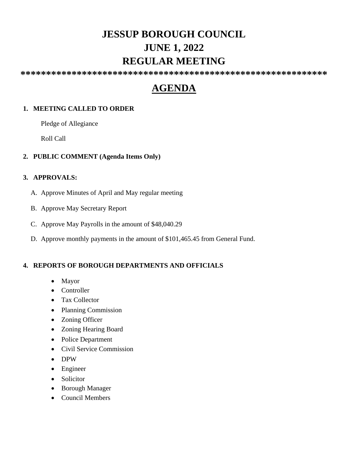# **JESSUP BOROUGH COUNCIL JUNE 1, 2022 REGULAR MEETING**

**\*\*\*\*\*\*\*\*\*\*\*\*\*\*\*\*\*\*\*\*\*\*\*\*\*\*\*\*\*\*\*\*\*\*\*\*\*\*\*\*\*\*\*\*\*\*\*\*\*\*\*\*\*\*\*\*\*\*\*\***

# **AGENDA**

## **1. MEETING CALLED TO ORDER**

Pledge of Allegiance

Roll Call

## **2. PUBLIC COMMENT (Agenda Items Only)**

#### **3. APPROVALS:**

- A. Approve Minutes of April and May regular meeting
- B. Approve May Secretary Report
- C. Approve May Payrolls in the amount of \$48,040.29
- D. Approve monthly payments in the amount of \$101,465.45 from General Fund.

# **4. REPORTS OF BOROUGH DEPARTMENTS AND OFFICIALS**

- Mayor
- Controller
- Tax Collector
- Planning Commission
- Zoning Officer
- Zoning Hearing Board
- Police Department
- Civil Service Commission
- DPW
- Engineer
- Solicitor
- Borough Manager
- Council Members